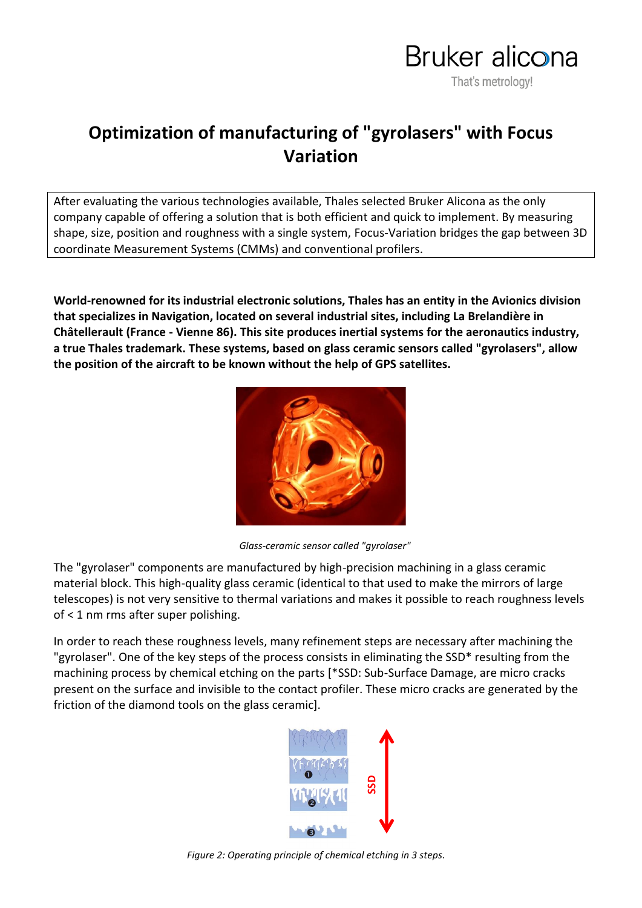

## **Optimization of manufacturing of "gyrolasers" with Focus Variation**

After evaluating the various technologies available, Thales selected Bruker Alicona as the only company capable of offering a solution that is both efficient and quick to implement. By measuring shape, size, position and roughness with a single system, Focus-Variation bridges the gap between 3D coordinate Measurement Systems (CMMs) and conventional profilers.

**World-renowned for its industrial electronic solutions, Thales has an entity in the Avionics division that specializes in Navigation, located on several industrial sites, including La Brelandière in Châtellerault (France - Vienne 86). This site produces inertial systems for the aeronautics industry, a true Thales trademark. These systems, based on glass ceramic sensors called "gyrolasers", allow the position of the aircraft to be known without the help of GPS satellites.**



*Glass-ceramic sensor called "gyrolaser"*

The "gyrolaser" components are manufactured by high-precision machining in a glass ceramic material block. This high-quality glass ceramic (identical to that used to make the mirrors of large telescopes) is not very sensitive to thermal variations and makes it possible to reach roughness levels of < 1 nm rms after super polishing.

In order to reach these roughness levels, many refinement steps are necessary after machining the "gyrolaser". One of the key steps of the process consists in eliminating the SSD<sup>\*</sup> resulting from the machining process by chemical etching on the parts [\*SSD: Sub-Surface Damage, are micro cracks present on the surface and invisible to the contact profiler. These micro cracks are generated by the friction of the diamond tools on the glass ceramic].



*Figure 2: Operating principle of chemical etching in 3 steps.*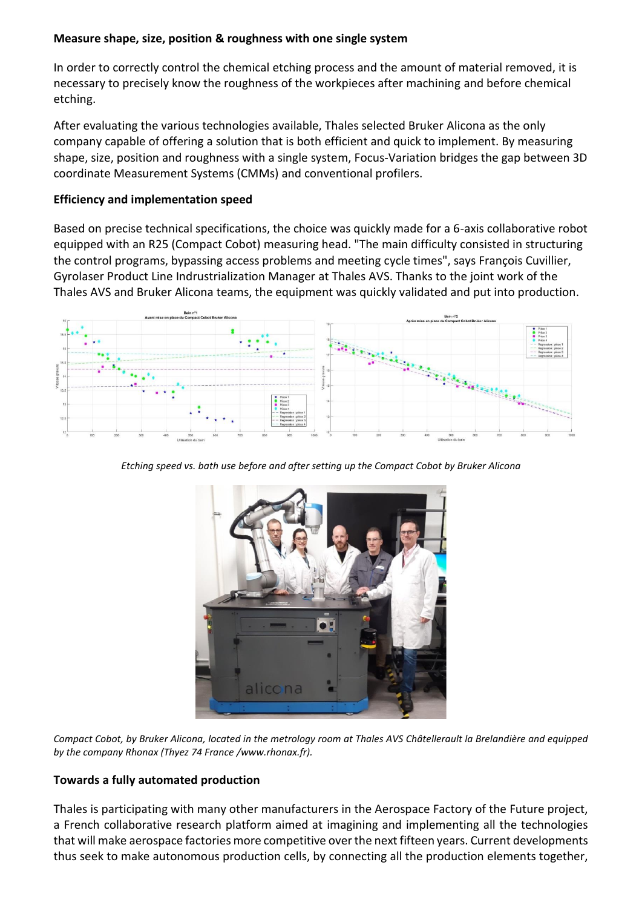## **Measure shape, size, position & roughness with one single system**

In order to correctly control the chemical etching process and the amount of material removed, it is necessary to precisely know the roughness of the workpieces after machining and before chemical etching.

After evaluating the various technologies available, Thales selected Bruker Alicona as the only company capable of offering a solution that is both efficient and quick to implement. By measuring shape, size, position and roughness with a single system, Focus-Variation bridges the gap between 3D coordinate Measurement Systems (CMMs) and conventional profilers.

## **Efficiency and implementation speed**

Based on precise technical specifications, the choice was quickly made for a 6-axis collaborative robot equipped with an R25 (Compact Cobot) measuring head. "The main difficulty consisted in structuring the control programs, bypassing access problems and meeting cycle times", says François Cuvillier, Gyrolaser Product Line Indrustrialization Manager at Thales AVS. Thanks to the joint work of the Thales AVS and Bruker Alicona teams, the equipment was quickly validated and put into production.



*Etching speed vs. bath use before and after setting up the Compact Cobot by Bruker Alicona*



*Compact Cobot, by Bruker Alicona, located in the metrology room at Thales AVS Châtellerault la Brelandière and equipped by the company Rhonax (Thyez 74 France /www.rhonax.fr).*

## **Towards a fully automated production**

Thales is participating with many other manufacturers in the Aerospace Factory of the Future project, a French collaborative research platform aimed at imagining and implementing all the technologies that will make aerospace factories more competitive over the next fifteen years. Current developments thus seek to make autonomous production cells, by connecting all the production elements together,